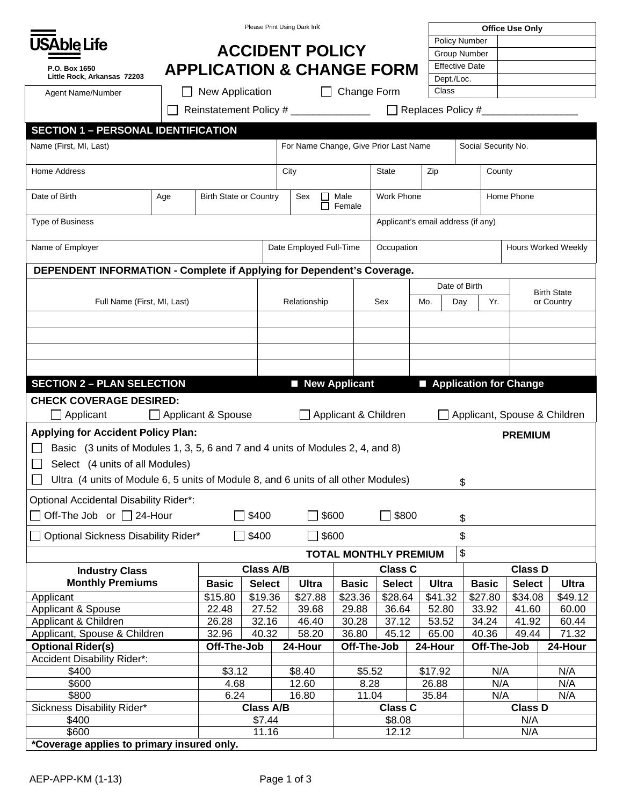|                                                                                                                        |                                      |                    |                 |                                      | Please Print Using Dark Ink                        |                              |  |                       |         |                     |                      |                | <b>Office Use Only</b>       |     |                                  |
|------------------------------------------------------------------------------------------------------------------------|--------------------------------------|--------------------|-----------------|--------------------------------------|----------------------------------------------------|------------------------------|--|-----------------------|---------|---------------------|----------------------|----------------|------------------------------|-----|----------------------------------|
|                                                                                                                        |                                      |                    |                 |                                      |                                                    |                              |  |                       |         |                     | <b>Policy Number</b> |                |                              |     |                                  |
| <b>USAble Life</b>                                                                                                     |                                      |                    |                 |                                      | <b>ACCIDENT POLICY</b>                             |                              |  |                       |         |                     | <b>Group Number</b>  |                |                              |     |                                  |
| P.O. Box 1650                                                                                                          |                                      |                    |                 | <b>APPLICATION &amp; CHANGE FORM</b> |                                                    |                              |  | <b>Effective Date</b> |         |                     |                      |                |                              |     |                                  |
| Little Rock, Arkansas 72203                                                                                            |                                      |                    |                 |                                      |                                                    |                              |  |                       |         | Dept./Loc.          |                      |                |                              |     |                                  |
| Agent Name/Number                                                                                                      |                                      | New Application    |                 |                                      |                                                    | Change Form                  |  |                       |         | Class               |                      |                |                              |     |                                  |
| $\Box$ Replaces Policy #<br>Reinstatement Policy # _______________                                                     |                                      |                    |                 |                                      |                                                    |                              |  |                       |         |                     |                      |                |                              |     |                                  |
| <b>SECTION 1 - PERSONAL IDENTIFICATION</b>                                                                             |                                      |                    |                 |                                      |                                                    |                              |  |                       |         |                     |                      |                |                              |     |                                  |
| Name (First, MI, Last)                                                                                                 |                                      |                    |                 |                                      | For Name Change, Give Prior Last Name              |                              |  |                       |         | Social Security No. |                      |                |                              |     |                                  |
| Home Address                                                                                                           |                                      |                    |                 |                                      | City<br><b>State</b>                               |                              |  |                       |         | Zip                 |                      |                | County                       |     |                                  |
| Date of Birth                                                                                                          | <b>Birth State or Country</b><br>Age |                    |                 |                                      | Work Phone<br>Sex<br>Male<br>$\Box$<br>п<br>Female |                              |  |                       |         |                     |                      |                | Home Phone                   |     |                                  |
| <b>Type of Business</b><br>Applicant's email address (if any)                                                          |                                      |                    |                 |                                      |                                                    |                              |  |                       |         |                     |                      |                |                              |     |                                  |
| Name of Employer                                                                                                       |                                      |                    |                 |                                      | Date Employed Full-Time<br>Occupation              |                              |  |                       |         |                     |                      |                | <b>Hours Worked Weekly</b>   |     |                                  |
| DEPENDENT INFORMATION - Complete if Applying for Dependent's Coverage.                                                 |                                      |                    |                 |                                      |                                                    |                              |  |                       |         |                     |                      |                |                              |     |                                  |
|                                                                                                                        |                                      |                    |                 |                                      |                                                    |                              |  | Date of Birth         |         |                     |                      |                |                              |     |                                  |
| Full Name (First, MI, Last)                                                                                            |                                      |                    |                 |                                      | Relationship                                       |                              |  | Sex                   | Mo.     |                     | Yr.<br>Day           |                |                              |     | <b>Birth State</b><br>or Country |
|                                                                                                                        |                                      |                    |                 |                                      |                                                    |                              |  |                       |         |                     |                      |                |                              |     |                                  |
|                                                                                                                        |                                      |                    |                 |                                      |                                                    |                              |  |                       |         |                     |                      |                |                              |     |                                  |
|                                                                                                                        |                                      |                    |                 |                                      |                                                    |                              |  |                       |         |                     |                      |                |                              |     |                                  |
|                                                                                                                        |                                      |                    |                 |                                      |                                                    |                              |  |                       |         |                     |                      |                |                              |     |                                  |
|                                                                                                                        |                                      |                    |                 |                                      |                                                    |                              |  |                       |         |                     |                      |                |                              |     |                                  |
| <b>SECTION 2 - PLAN SELECTION</b>                                                                                      |                                      |                    |                 |                                      | New Applicant                                      |                              |  |                       |         |                     |                      |                | Application for Change       |     |                                  |
| <b>CHECK COVERAGE DESIRED:</b>                                                                                         |                                      |                    |                 |                                      |                                                    |                              |  |                       |         |                     |                      |                |                              |     |                                  |
| Applicant                                                                                                              |                                      | Applicant & Spouse |                 |                                      |                                                    | Applicant & Children         |  |                       |         |                     |                      |                | Applicant, Spouse & Children |     |                                  |
| <b>Applying for Accident Policy Plan:</b>                                                                              |                                      |                    |                 |                                      |                                                    |                              |  |                       |         |                     |                      |                | <b>PREMIUM</b>               |     |                                  |
| Basic (3 units of Modules 1, 3, 5, 6 and 7 and 4 units of Modules 2, 4, and 8)                                         |                                      |                    |                 |                                      |                                                    |                              |  |                       |         |                     |                      |                |                              |     |                                  |
| Select (4 units of all Modules)                                                                                        |                                      |                    |                 |                                      |                                                    |                              |  |                       |         |                     |                      |                |                              |     |                                  |
| Ultra (4 units of Module 6, 5 units of Module 8, and 6 units of all other Modules)                                     |                                      |                    |                 |                                      |                                                    |                              |  |                       |         |                     | \$                   |                |                              |     |                                  |
|                                                                                                                        |                                      |                    |                 |                                      |                                                    |                              |  |                       |         |                     |                      |                |                              |     |                                  |
| <b>Optional Accidental Disability Rider*:</b><br>Off-The Job or □ 24-Hour<br>] \$400<br>\$800<br>\$600<br>$\Box$<br>\$ |                                      |                    |                 |                                      |                                                    |                              |  |                       |         |                     |                      |                |                              |     |                                  |
| \$400<br>Optional Sickness Disability Rider*                                                                           |                                      |                    |                 |                                      | \$600                                              |                              |  |                       |         |                     | \$                   |                |                              |     |                                  |
|                                                                                                                        |                                      |                    |                 |                                      |                                                    | <b>TOTAL MONTHLY PREMIUM</b> |  |                       |         |                     | \$                   |                |                              |     |                                  |
| <b>Industry Class</b>                                                                                                  | <b>Class A/B</b>                     |                    |                 |                                      |                                                    | <b>Class C</b>               |  |                       |         | <b>Class D</b>      |                      |                |                              |     |                                  |
| <b>Monthly Premiums</b>                                                                                                |                                      | <b>Basic</b>       | <b>Select</b>   |                                      | Ultra                                              | <b>Basic</b>                 |  | <b>Select</b>         |         | Ultra               |                      | <b>Basic</b>   | <b>Select</b>                |     | Ultra                            |
| Applicant                                                                                                              |                                      | \$15.80            | \$19.36         |                                      | \$27.88                                            | \$23.36                      |  | \$28.64               |         | \$41.32             |                      | \$27.80        | \$34.08                      |     | \$49.12                          |
| Applicant & Spouse                                                                                                     |                                      | 22.48              | 27.52           |                                      | 39.68                                              | 29.88                        |  | 36.64                 |         | 52.80               |                      | 33.92          | 41.60                        |     | 60.00                            |
| Applicant & Children                                                                                                   |                                      | 26.28              | 32.16           |                                      | 46.40                                              | 30.28                        |  | 37.12                 |         | 53.52               |                      | 34.24          | 41.92                        |     | 60.44                            |
| Applicant, Spouse & Children                                                                                           |                                      | 32.96              | 40.32           |                                      | 58.20                                              | 36.80                        |  | 45.12                 |         | 65.00               |                      | 40.36          | 49.44                        |     | 71.32                            |
| <b>Optional Rider(s)</b>                                                                                               |                                      | Off-The-Job        |                 |                                      | 24-Hour                                            | Off-The-Job                  |  |                       | 24-Hour |                     |                      |                | Off-The-Job                  |     | 24-Hour                          |
| Accident Disability Rider*:                                                                                            |                                      |                    |                 |                                      |                                                    |                              |  |                       |         |                     |                      |                |                              |     |                                  |
| \$400                                                                                                                  |                                      | \$3.12             |                 |                                      | \$8.40                                             | \$5.52                       |  | \$17.92               |         |                     |                      | N/A            | N/A                          |     |                                  |
| \$600                                                                                                                  |                                      | 4.68               |                 |                                      | 12.60                                              | 8.28                         |  |                       | 26.88   |                     | N/A                  |                |                              | N/A |                                  |
|                                                                                                                        | \$800<br>6.24                        |                    |                 |                                      | 16.80<br>11.04                                     |                              |  | 35.84                 |         | N/A                 |                      | N/A            |                              |     |                                  |
| Sickness Disability Rider*                                                                                             | <b>Class A/B</b>                     |                    |                 |                                      | <b>Class C</b>                                     |                              |  |                       |         |                     |                      | <b>Class D</b> |                              |     |                                  |
|                                                                                                                        |                                      |                    |                 |                                      |                                                    |                              |  |                       |         |                     |                      |                |                              |     |                                  |
| \$400<br>\$600                                                                                                         |                                      |                    | \$7.44<br>11.16 |                                      |                                                    |                              |  | \$8.08<br>12.12       |         |                     |                      |                | N/A<br>N/A                   |     |                                  |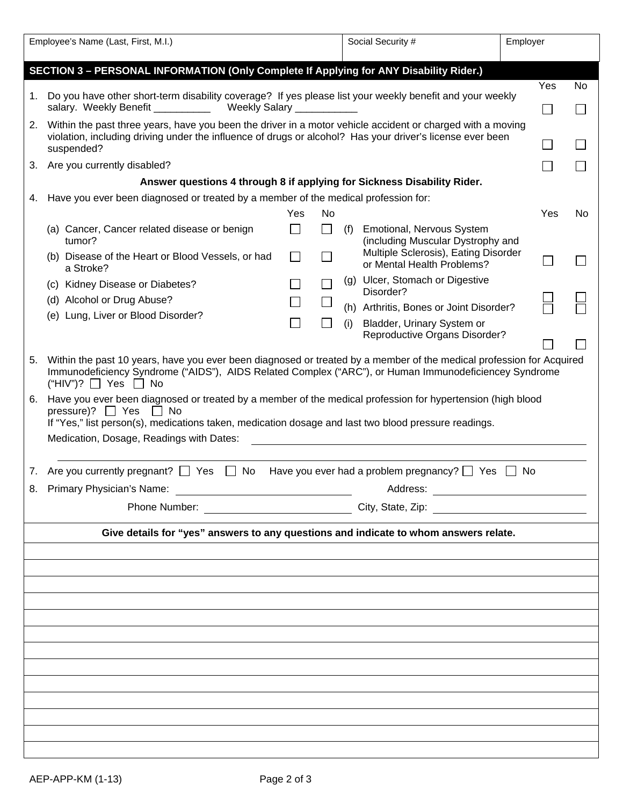| Employee's Name (Last, First, M.I.)                                                                                                                                                                                                                                                                                                                                                                                                             |                                                                                                          |        |    | Social Security # |                                                                                                                |     | Employer |    |  |  |  |
|-------------------------------------------------------------------------------------------------------------------------------------------------------------------------------------------------------------------------------------------------------------------------------------------------------------------------------------------------------------------------------------------------------------------------------------------------|----------------------------------------------------------------------------------------------------------|--------|----|-------------------|----------------------------------------------------------------------------------------------------------------|-----|----------|----|--|--|--|
| SECTION 3 - PERSONAL INFORMATION (Only Complete If Applying for ANY Disability Rider.)                                                                                                                                                                                                                                                                                                                                                          |                                                                                                          |        |    |                   |                                                                                                                |     |          |    |  |  |  |
|                                                                                                                                                                                                                                                                                                                                                                                                                                                 |                                                                                                          |        |    |                   |                                                                                                                |     | Yes      | No |  |  |  |
| 1.                                                                                                                                                                                                                                                                                                                                                                                                                                              | Do you have other short-term disability coverage? If yes please list your weekly benefit and your weekly |        |    |                   |                                                                                                                |     | L.       |    |  |  |  |
| salary. Weekly Benefit<br>Weekly Salary                                                                                                                                                                                                                                                                                                                                                                                                         |                                                                                                          |        |    |                   |                                                                                                                |     |          |    |  |  |  |
| 2. Within the past three years, have you been the driver in a motor vehicle accident or charged with a moving<br>violation, including driving under the influence of drugs or alcohol? Has your driver's license ever been<br>suspended?                                                                                                                                                                                                        |                                                                                                          |        |    |                   |                                                                                                                |     |          |    |  |  |  |
|                                                                                                                                                                                                                                                                                                                                                                                                                                                 | 3. Are you currently disabled?                                                                           |        |    |                   |                                                                                                                |     |          |    |  |  |  |
| Answer questions 4 through 8 if applying for Sickness Disability Rider.                                                                                                                                                                                                                                                                                                                                                                         |                                                                                                          |        |    |                   |                                                                                                                |     |          |    |  |  |  |
| 4.                                                                                                                                                                                                                                                                                                                                                                                                                                              | Have you ever been diagnosed or treated by a member of the medical profession for:                       |        |    |                   |                                                                                                                |     |          |    |  |  |  |
|                                                                                                                                                                                                                                                                                                                                                                                                                                                 |                                                                                                          | Yes    | No |                   |                                                                                                                |     | Yes      | No |  |  |  |
|                                                                                                                                                                                                                                                                                                                                                                                                                                                 | (a) Cancer, Cancer related disease or benign<br>tumor?                                                   | $\Box$ |    | (f)               | Emotional, Nervous System<br>(including Muscular Dystrophy and                                                 |     |          |    |  |  |  |
|                                                                                                                                                                                                                                                                                                                                                                                                                                                 | (b) Disease of the Heart or Blood Vessels, or had<br>a Stroke?                                           |        |    |                   | Multiple Sclerosis), Eating Disorder<br>or Mental Health Problems?                                             |     |          |    |  |  |  |
|                                                                                                                                                                                                                                                                                                                                                                                                                                                 | (c) Kidney Disease or Diabetes?                                                                          |        |    |                   | (g) Ulcer, Stomach or Digestive<br>Disorder?                                                                   |     |          |    |  |  |  |
|                                                                                                                                                                                                                                                                                                                                                                                                                                                 | (d) Alcohol or Drug Abuse?                                                                               |        |    |                   | (h) Arthritis, Bones or Joint Disorder?                                                                        |     |          |    |  |  |  |
|                                                                                                                                                                                                                                                                                                                                                                                                                                                 | (e) Lung, Liver or Blood Disorder?                                                                       |        |    | (i)               | Bladder, Urinary System or                                                                                     |     |          |    |  |  |  |
|                                                                                                                                                                                                                                                                                                                                                                                                                                                 |                                                                                                          |        |    |                   | Reproductive Organs Disorder?                                                                                  |     |          |    |  |  |  |
| Immunodeficiency Syndrome ("AIDS"), AIDS Related Complex ("ARC"), or Human Immunodeficiencey Syndrome<br>("HIV")? $\Box$ Yes $\Box$ No<br>Have you ever been diagnosed or treated by a member of the medical profession for hypertension (high blood<br>6.<br>pressure)? $\Box$ Yes<br>∣∣No<br>If "Yes," list person(s), medications taken, medication dosage and last two blood pressure readings.<br>Medication, Dosage, Readings with Dates: |                                                                                                          |        |    |                   |                                                                                                                |     |          |    |  |  |  |
|                                                                                                                                                                                                                                                                                                                                                                                                                                                 | 7. Are you currently pregnant? $\Box$ Yes<br>No                                                          |        |    |                   | Have you ever had a problem pregnancy? $\Box$ Yes $\Box$                                                       | No. |          |    |  |  |  |
| 8. Primary Physician's Name:                                                                                                                                                                                                                                                                                                                                                                                                                    |                                                                                                          |        |    | Address:          |                                                                                                                |     |          |    |  |  |  |
|                                                                                                                                                                                                                                                                                                                                                                                                                                                 |                                                                                                          |        |    |                   | City, State, Zip: example of the state of the state of the state of the state of the state of the state of the |     |          |    |  |  |  |
| Give details for "yes" answers to any questions and indicate to whom answers relate.                                                                                                                                                                                                                                                                                                                                                            |                                                                                                          |        |    |                   |                                                                                                                |     |          |    |  |  |  |
|                                                                                                                                                                                                                                                                                                                                                                                                                                                 |                                                                                                          |        |    |                   |                                                                                                                |     |          |    |  |  |  |
|                                                                                                                                                                                                                                                                                                                                                                                                                                                 |                                                                                                          |        |    |                   |                                                                                                                |     |          |    |  |  |  |
|                                                                                                                                                                                                                                                                                                                                                                                                                                                 |                                                                                                          |        |    |                   |                                                                                                                |     |          |    |  |  |  |
|                                                                                                                                                                                                                                                                                                                                                                                                                                                 |                                                                                                          |        |    |                   |                                                                                                                |     |          |    |  |  |  |
|                                                                                                                                                                                                                                                                                                                                                                                                                                                 |                                                                                                          |        |    |                   |                                                                                                                |     |          |    |  |  |  |
|                                                                                                                                                                                                                                                                                                                                                                                                                                                 |                                                                                                          |        |    |                   |                                                                                                                |     |          |    |  |  |  |
|                                                                                                                                                                                                                                                                                                                                                                                                                                                 |                                                                                                          |        |    |                   |                                                                                                                |     |          |    |  |  |  |
|                                                                                                                                                                                                                                                                                                                                                                                                                                                 |                                                                                                          |        |    |                   |                                                                                                                |     |          |    |  |  |  |
|                                                                                                                                                                                                                                                                                                                                                                                                                                                 |                                                                                                          |        |    |                   |                                                                                                                |     |          |    |  |  |  |
|                                                                                                                                                                                                                                                                                                                                                                                                                                                 |                                                                                                          |        |    |                   |                                                                                                                |     |          |    |  |  |  |
|                                                                                                                                                                                                                                                                                                                                                                                                                                                 |                                                                                                          |        |    |                   |                                                                                                                |     |          |    |  |  |  |
|                                                                                                                                                                                                                                                                                                                                                                                                                                                 |                                                                                                          |        |    |                   |                                                                                                                |     |          |    |  |  |  |